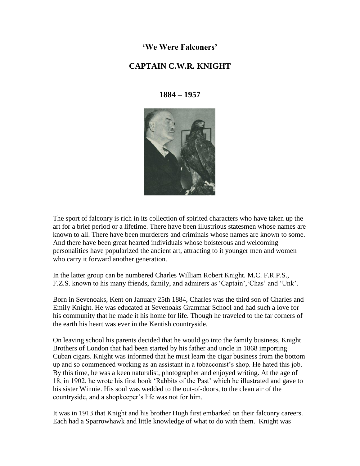**'We Were Falconers'**

## **CAPTAIN C.W.R. KNIGHT**

**1884 – 1957**



The sport of falconry is rich in its collection of spirited characters who have taken up the art for a brief period or a lifetime. There have been illustrious statesmen whose names are known to all. There have been murderers and criminals whose names are known to some. And there have been great hearted individuals whose boisterous and welcoming personalities have popularized the ancient art, attracting to it younger men and women who carry it forward another generation.

In the latter group can be numbered Charles William Robert Knight. M.C. F.R.P.S., F.Z.S. known to his many friends, family, and admirers as 'Captain', 'Chas' and 'Unk'.

Born in Sevenoaks, Kent on January 25th 1884, Charles was the third son of Charles and Emily Knight. He was educated at Sevenoaks Grammar School and had such a love for his community that he made it his home for life. Though he traveled to the far corners of the earth his heart was ever in the Kentish countryside.

On leaving school his parents decided that he would go into the family business, Knight Brothers of London that had been started by his father and uncle in 1868 importing Cuban cigars. Knight was informed that he must learn the cigar business from the bottom up and so commenced working as an assistant in a tobacconist"s shop. He hated this job. By this time, he was a keen naturalist, photographer and enjoyed writing. At the age of 18, in 1902, he wrote his first book "Rabbits of the Past" which he illustrated and gave to his sister Winnie. His soul was wedded to the out-of-doors, to the clean air of the countryside, and a shopkeeper"s life was not for him.

It was in 1913 that Knight and his brother Hugh first embarked on their falconry careers. Each had a Sparrowhawk and little knowledge of what to do with them. Knight was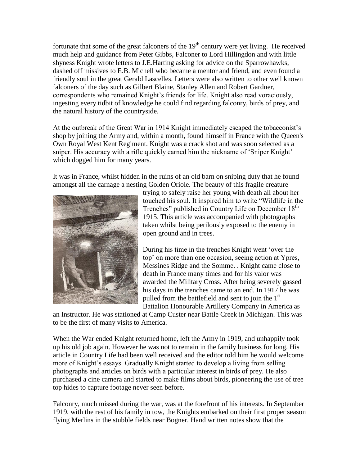fortunate that some of the great falconers of the  $19<sup>th</sup>$  century were yet living. He received much help and guidance from Peter Gibbs, Falconer to Lord Hillingdon and with little shyness Knight wrote letters to J.E.Harting asking for advice on the Sparrowhawks, dashed off missives to E.B. Michell who became a mentor and friend, and even found a friendly soul in the great Gerald Lascelles. Letters were also written to other well known falconers of the day such as Gilbert Blaine, Stanley Allen and Robert Gardner, correspondents who remained Knight's friends for life. Knight also read voraciously, ingesting every tidbit of knowledge he could find regarding falconry, birds of prey, and the natural history of the countryside.

At the outbreak of the Great War in 1914 Knight immediately escaped the tobacconist"s shop by joining the Army and, within a month, found himself in France with the Queen's Own Royal West Kent Regiment. Knight was a crack shot and was soon selected as a sniper. His accuracy with a rifle quickly earned him the nickname of "Sniper Knight" which dogged him for many years.

It was in France, whilst hidden in the ruins of an old barn on sniping duty that he found amongst all the carnage a nesting Golden Oriole. The beauty of this fragile creature



trying to safely raise her young with death all about her touched his soul. It inspired him to write "Wildlife in the Trenches" published in Country Life on December 18<sup>th</sup> 1915. This article was accompanied with photographs taken whilst being perilously exposed to the enemy in open ground and in trees.

During his time in the trenches Knight went "over the top" on more than one occasion, seeing action at Ypres, Messines Ridge and the Somme. . Knight came close to death in France many times and for his valor was awarded the Military Cross. After being severely gassed his days in the trenches came to an end. In 1917 he was pulled from the battlefield and sent to join the  $1<sup>st</sup>$ Battalion Honourable Artillery Company in America as

an Instructor. He was stationed at Camp Custer near Battle Creek in Michigan. This was to be the first of many visits to America.

When the War ended Knight returned home, left the Army in 1919, and unhappily took up his old job again. However he was not to remain in the family business for long. His article in Country Life had been well received and the editor told him he would welcome more of Knight's essays. Gradually Knight started to develop a living from selling photographs and articles on birds with a particular interest in birds of prey. He also purchased a cine camera and started to make films about birds, pioneering the use of tree top hides to capture footage never seen before.

Falconry, much missed during the war, was at the forefront of his interests. In September 1919, with the rest of his family in tow, the Knights embarked on their first proper season flying Merlins in the stubble fields near Bogner. Hand written notes show that the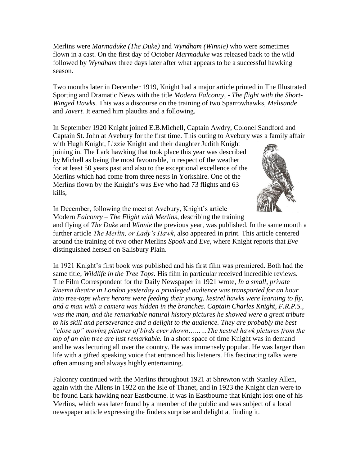Merlins were *Marmaduke (The Duke)* and *Wyndham (Winnie)* who were sometimes flown in a cast. On the first day of October *Marmaduke* was released back to the wild followed by *Wyndham* three days later after what appears to be a successful hawking season.

Two months later in December 1919, Knight had a major article printed in The Illustrated Sporting and Dramatic News with the title *Modern Falconry, - The flight with the Short-Winged Hawks.* This was a discourse on the training of two Sparrowhawks, *Melisande*  and *Javert.* It earned him plaudits and a following.

In September 1920 Knight joined E.B.Michell, Captain Awdry, Colonel Sandford and Captain St. John at Avebury for the first time. This outing to Avebury was a family affair

with Hugh Knight, Lizzie Knight and their daughter Judith Knight joining in. The Lark hawking that took place this year was described by Michell as being the most favourable, in respect of the weather for at least 50 years past and also to the exceptional excellence of the Merlins which had come from three nests in Yorkshire. One of the Merlins flown by the Knight's was *Eve* who had 73 flights and 63 kills,



In December, following the meet at Avebury, Knight's article Modern *Falconry – The Flight with Merlins*, describing the training

and flying of *The Duke* and *Winnie* the previous year, was published. In the same month a further article *The Merlin, or Lady's Hawk*, also appeared in print*.* This article centered around the training of two other Merlins *Spook* and *Eve,* where Knight reports that *Eve*  distinguished herself on Salisbury Plain.

In 1921 Knight"s first book was published and his first film was premiered. Both had the same title, *Wildlife in the Tree Tops.* His film in particular received incredible reviews. The Film Correspondent for the Daily Newspaper in 1921 wrote, *In a small, private kinema theatre in London yesterday a privileged audience was transported for an hour into tree-tops where herons were feeding their young, kestrel hawks were learning to fly, and a man with a camera was hidden in the branches. Captain Charles Knight, F.R.P.S., was the man, and the remarkable natural history pictures he showed were a great tribute to his skill and perseverance and a delight to the audience. They are probably the best "close up" moving pictures of birds ever shown………The kestrel hawk pictures from the top of an elm tree are just remarkable.* In a short space of time Knight was in demand and he was lecturing all over the country. He was immensely popular. He was larger than life with a gifted speaking voice that entranced his listeners. His fascinating talks were often amusing and always highly entertaining.

Falconry continued with the Merlins throughout 1921 at Shrewton with Stanley Allen, again with the Allens in 1922 on the Isle of Thanet, and in 1923 the Knight clan were to be found Lark hawking near Eastbourne. It was in Eastbourne that Knight lost one of his Merlins, which was later found by a member of the public and was subject of a local newspaper article expressing the finders surprise and delight at finding it.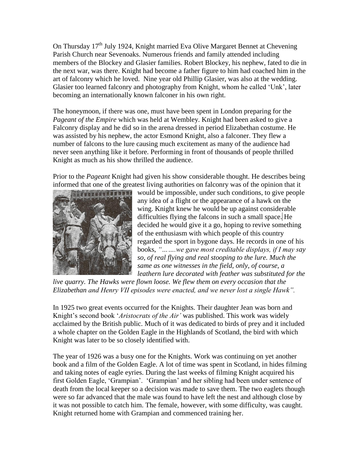On Thursday  $17<sup>th</sup>$  July 1924, Knight married Eva Olive Margaret Bennet at Chevening Parish Church near Sevenoaks. Numerous friends and family attended including members of the Blockey and Glasier families. Robert Blockey, his nephew, fated to die in the next war, was there. Knight had become a father figure to him had coached him in the art of falconry which he loved. Nine year old Phillip Glasier, was also at the wedding. Glasier too learned falconry and photography from Knight, whom he called "Unk", later becoming an internationally known falconer in his own right.

The honeymoon, if there was one, must have been spent in London preparing for the *Pageant of the Empire* which was held at Wembley. Knight had been asked to give a Falconry display and he did so in the arena dressed in period Elizabethan costume. He was assisted by his nephew, the actor Esmond Knight, also a falconer. They flew a number of falcons to the lure causing much excitement as many of the audience had never seen anything like it before. Performing in front of thousands of people thrilled Knight as much as his show thrilled the audience.

Prior to the *Pageant* Knight had given his show considerable thought. He describes being informed that one of the greatest living authorities on falconry was of the opinion that it



would be impossible, under such conditions, to give people any idea of a flight or the appearance of a hawk on the wing. Knight knew he would be up against considerable difficulties flying the falcons in such a small space. He decided he would give it a go, hoping to revive something of the enthusiasm with which people of this country regarded the sport in bygone days. He records in one of his books, *"…….we gave most creditable displays, if I may say so, of real flying and real stooping to the lure. Much the same as one witnesses in the field, only, of course, a leathern lure decorated with feather was substituted for the* 

*live quarry. The Hawks were flown loose. We flew them on every occasion that the Elizabethan and Henry VII episodes were enacted, and we never lost a single Hawk".*

In 1925 two great events occurred for the Knights. Their daughter Jean was born and Knight's second book '*Aristocrats of the Air'* was published. This work was widely acclaimed by the British public. Much of it was dedicated to birds of prey and it included a whole chapter on the Golden Eagle in the Highlands of Scotland, the bird with which Knight was later to be so closely identified with.

The year of 1926 was a busy one for the Knights. Work was continuing on yet another book and a film of the Golden Eagle. A lot of time was spent in Scotland, in hides filming and taking notes of eagle eyries. During the last weeks of filming Knight acquired his first Golden Eagle, "Grampian". "Grampian" and her sibling had been under sentence of death from the local keeper so a decision was made to save them. The two eaglets though were so far advanced that the male was found to have left the nest and although close by it was not possible to catch him. The female, however, with some difficulty, was caught. Knight returned home with Grampian and commenced training her.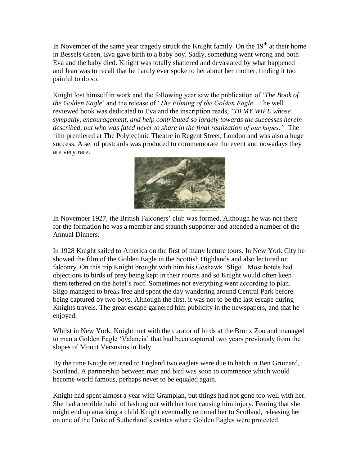In November of the same year tragedy struck the Knight family. On the  $19<sup>th</sup>$  at their home in Bessels Green, Eva gave birth to a baby boy. Sadly, something went wrong and both Eva and the baby died. Knight was totally shattered and devastated by what happened and Jean was to recall that he hardly ever spoke to her about her mother, finding it too painful to do so.

Knight lost himself in work and the following year saw the publication of "*The Book of the Golden Eagle*" and the release of "*The Filming of the Golden Eagle'*. The well reviewed book was dedicated to Eva and the inscription reads, "*T0 MY WIFE whose sympathy, encouragement, and help contributed so largely towards the successes herein described, but who was fated never to share in the final realization of our hopes."* The film premiered at The Polytechnic Theatre in Regent Street, London and was also a huge success. A set of postcards was produced to commemorate the event and nowadays they are very rare.



In November 1927, the British Falconers' club was formed. Although he was not there for the formation he was a member and staunch supporter and attended a number of the Annual Dinners.

In 1928 Knight sailed to America on the first of many lecture tours. In New York City he showed the film of the Golden Eagle in the Scottish Highlands and also lectured on falconry. On this trip Knight brought with him his Goshawk "Sligo". Most hotels had objections to birds of prey being kept in their rooms and so Knight would often keep them tethered on the hotel"s roof. Sometimes not everything went according to plan. Sligo managed to break free and spent the day wandering around Central Park before being captured by two boys. Although the first, it was not to be the last escape during Knights travels. The great escape garnered him publicity in the newspapers, and that he enjoyed.

Whilst in New York, Knight met with the curator of birds at the Bronx Zoo and managed to man a Golden Eagle "Valancia" that had been captured two years previously from the slopes of Mount Versuvius in Italy

By the time Knight returned to England two eaglets were due to hatch in Ben Gruinard, Scotland. A partnership between man and bird was soon to commence which would become world famous, perhaps never to be equaled again.

Knight had spent almost a year with Grampian, but things had not gone too well with her. She had a terrible habit of lashing out with her foot causing him injury. Fearing that she might end up attacking a child Knight eventually returned her to Scotland, releasing her on one of the Duke of Sutherland"s estates where Golden Eagles were protected.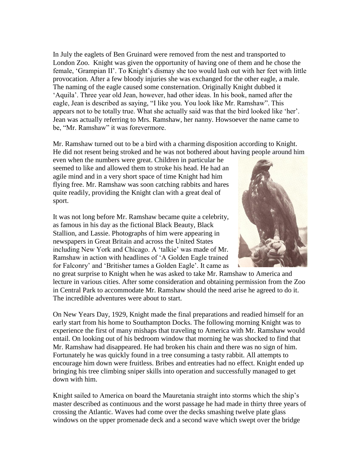In July the eaglets of Ben Gruinard were removed from the nest and transported to London Zoo. Knight was given the opportunity of having one of them and he chose the female, "Grampian II". To Knight"s dismay she too would lash out with her feet with little provocation. After a few bloody injuries she was exchanged for the other eagle, a male. The naming of the eagle caused some consternation. Originally Knight dubbed it "Aquila". Three year old Jean, however, had other ideas. In his book, named after the eagle, Jean is described as saying, "I like you. You look like Mr. Ramshaw". This appears not to be totally true. What she actually said was that the bird looked like "her". Jean was actually referring to Mrs. Ramshaw, her nanny. Howsoever the name came to be, "Mr. Ramshaw" it was forevermore.

Mr. Ramshaw turned out to be a bird with a charming disposition according to Knight. He did not resent being stroked and he was not bothered about having people around him

even when the numbers were great. Children in particular he seemed to like and allowed them to stroke his head. He had an agile mind and in a very short space of time Knight had him flying free. Mr. Ramshaw was soon catching rabbits and hares quite readily, providing the Knight clan with a great deal of sport.

It was not long before Mr. Ramshaw became quite a celebrity, as famous in his day as the fictional Black Beauty, Black Stallion, and Lassie. Photographs of him were appearing in newspapers in Great Britain and across the United States including New York and Chicago. A "talkie" was made of Mr. Ramshaw in action with headlines of "A Golden Eagle trained for Falconry" and "Britisher tames a Golden Eagle". It came as



no great surprise to Knight when he was asked to take Mr. Ramshaw to America and lecture in various cities. After some consideration and obtaining permission from the Zoo in Central Park to accommodate Mr. Ramshaw should the need arise he agreed to do it. The incredible adventures were about to start.

On New Years Day, 1929, Knight made the final preparations and readied himself for an early start from his home to Southampton Docks. The following morning Knight was to experience the first of many mishaps that traveling to America with Mr. Ramshaw would entail. On looking out of his bedroom window that morning he was shocked to find that Mr. Ramshaw had disappeared. He had broken his chain and there was no sign of him. Fortunately he was quickly found in a tree consuming a tasty rabbit. All attempts to encourage him down were fruitless. Bribes and entreaties had no effect. Knight ended up bringing his tree climbing sniper skills into operation and successfully managed to get down with him.

Knight sailed to America on board the Mauretania straight into storms which the ship"s master described as continuous and the worst passage he had made in thirty three years of crossing the Atlantic. Waves had come over the decks smashing twelve plate glass windows on the upper promenade deck and a second wave which swept over the bridge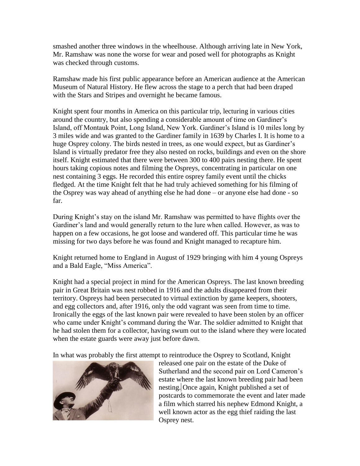smashed another three windows in the wheelhouse. Although arriving late in New York, Mr. Ramshaw was none the worse for wear and posed well for photographs as Knight was checked through customs.

Ramshaw made his first public appearance before an American audience at the American Museum of Natural History. He flew across the stage to a perch that had been draped with the Stars and Stripes and overnight he became famous.

Knight spent four months in America on this particular trip, lecturing in various cities around the country, but also spending a considerable amount of time on Gardiner"s Island, off Montauk Point, Long Island, New York. Gardiner"s Island is 10 miles long by 3 miles wide and was granted to the Gardiner family in 1639 by Charles I. It is home to a huge Osprey colony. The birds nested in trees, as one would expect, but as Gardiner's Island is virtually predator free they also nested on rocks, buildings and even on the shore itself. Knight estimated that there were between 300 to 400 pairs nesting there. He spent hours taking copious notes and filming the Ospreys, concentrating in particular on one nest containing 3 eggs. He recorded this entire osprey family event until the chicks fledged. At the time Knight felt that he had truly achieved something for his filming of the Osprey was way ahead of anything else he had done – or anyone else had done - so far.

During Knight's stay on the island Mr. Ramshaw was permitted to have flights over the Gardiner's land and would generally return to the lure when called. However, as was to happen on a few occasions, he got loose and wandered off. This particular time he was missing for two days before he was found and Knight managed to recapture him.

Knight returned home to England in August of 1929 bringing with him 4 young Ospreys and a Bald Eagle, "Miss America".

Knight had a special project in mind for the American Ospreys. The last known breeding pair in Great Britain was nest robbed in 1916 and the adults disappeared from their territory. Ospreys had been persecuted to virtual extinction by game keepers, shooters, and egg collectors and, after 1916, only the odd vagrant was seen from time to time. Ironically the eggs of the last known pair were revealed to have been stolen by an officer who came under Knight's command during the War. The soldier admitted to Knight that he had stolen them for a collector, having swum out to the island where they were located when the estate guards were away just before dawn.

In what was probably the first attempt to reintroduce the Osprey to Scotland, Knight



released one pair on the estate of the Duke of Sutherland and the second pair on Lord Cameron's estate where the last known breeding pair had been nesting. Once again, Knight published a set of postcards to commemorate the event and later made a film which starred his nephew Edmond Knight, a well known actor as the egg thief raiding the last Osprey nest.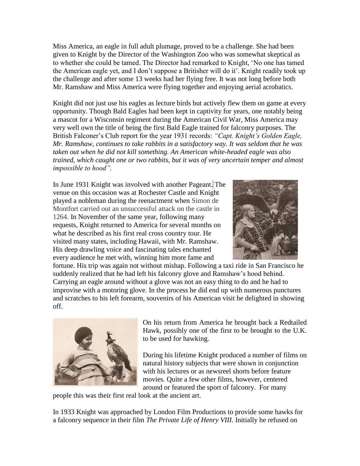Miss America, an eagle in full adult plumage, proved to be a challenge. She had been given to Knight by the Director of the Washington Zoo who was somewhat skeptical as to whether she could be tamed. The Director had remarked to Knight, "No one has tamed the American eagle yet, and I don't suppose a Britisher will do it'. Knight readily took up the challenge and after some 13 weeks had her flying free. It was not long before both Mr. Ramshaw and Miss America were flying together and enjoying aerial acrobatics.

Knight did not just use his eagles as lecture birds but actively flew them on game at every opportunity. Though Bald Eagles had been kept in captivity for years, one notably being a mascot for a Wisconsin regiment during the American Civil War, Miss America may very well own the title of being the first Bald Eagle trained for falconry purposes. The British Falconer"s Club report for the year 1931 records: *"Capt. Knight's Golden Eagle, Mr. Ramshaw, continues to take rabbits in a satisfactory way. It was seldom that he was taken out when he did not kill something. An American white-headed eagle was also trained, which caught one or two rabbits, but it was of very uncertain temper and almost impossible to hood".*

In June 1931 Knight was involved with another Pageant. The venue on this occasion was at Rochester Castle and Knight played a nobleman during the reenactment when Simon de Montfort carried out an unsuccessful attack on the castle in 1264. In November of the same year, following many requests, Knight returned to America for several months on what he described as his first real cross country tour. He visited many states, including Hawaii, with Mr. Ramshaw. His deep drawling voice and fascinating tales enchanted every audience he met with, winning him more fame and



fortune. His trip was again not without mishap. Following a taxi ride in San Francisco he suddenly realized that he had left his falconry glove and Ramshaw"s hood behind. Carrying an eagle around without a glove was not an easy thing to do and he had to improvise with a motoring glove. In the process he did end up with numerous punctures and scratches to his left forearm, souvenirs of his American visit he delighted in showing off.



On his return from America he brought back a Redtailed Hawk, possibly one of the first to be brought to the U.K. to be used for hawking.

During his lifetime Knight produced a number of films on natural history subjects that were shown in conjunction with his lectures or as newsreel shorts before feature movies. Quite a few other films, however, centered around or featured the sport of falconry. For many

people this was their first real look at the ancient art.

In 1933 Knight was approached by London Film Productions to provide some hawks for a falconry sequence in their film *The Private Life of Henry VIII*. Initially he refused on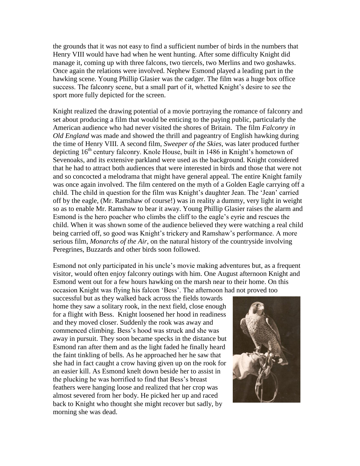the grounds that it was not easy to find a sufficient number of birds in the numbers that Henry VIII would have had when he went hunting. After some difficulty Knight did manage it, coming up with three falcons, two tiercels, two Merlins and two goshawks. Once again the relations were involved. Nephew Esmond played a leading part in the hawking scene. Young Phillip Glasier was the cadger. The film was a huge box office success. The falconry scene, but a small part of it, whetted Knight's desire to see the sport more fully depicted for the screen.

Knight realized the drawing potential of a movie portraying the romance of falconry and set about producing a film that would be enticing to the paying public, particularly the American audience who had never visited the shores of Britain. The film *Falconry in Old England* was made and showed the thrill and pageantry of English hawking during the time of Henry VIII. A second film, *Sweeper of the Skies*, was later produced further depicting 16<sup>th</sup> century falconry. Knole House, built in 1486 in Knight's hometown of Sevenoaks, and its extensive parkland were used as the background. Knight considered that he had to attract both audiences that were interested in birds and those that were not and so concocted a melodrama that might have general appeal. The entire Knight family was once again involved. The film centered on the myth of a Golden Eagle carrying off a child. The child in question for the film was Knight"s daughter Jean. The "Jean" carried off by the eagle, (Mr. Ramshaw of course!) was in reality a dummy, very light in weight so as to enable Mr. Ramshaw to bear it away. Young Phillip Glasier raises the alarm and Esmond is the hero poacher who climbs the cliff to the eagle"s eyrie and rescues the child. When it was shown some of the audience believed they were watching a real child being carried off, so good was Knight's trickery and Ramshaw's performance. A more serious film, *Monarchs of the Air*, on the natural history of the countryside involving Peregrines, Buzzards and other birds soon followed.

Esmond not only participated in his uncle"s movie making adventures but, as a frequent visitor, would often enjoy falconry outings with him. One August afternoon Knight and Esmond went out for a few hours hawking on the marsh near to their home. On this occasion Knight was flying his falcon "Bess". The afternoon had not proved too

successful but as they walked back across the fields towards home they saw a solitary rook, in the next field, close enough for a flight with Bess. Knight loosened her hood in readiness and they moved closer. Suddenly the rook was away and commenced climbing. Bess"s hood was struck and she was away in pursuit. They soon became specks in the distance but Esmond ran after them and as the light faded he finally heard the faint tinkling of bells. As he approached her he saw that she had in fact caught a crow having given up on the rook for an easier kill. As Esmond knelt down beside her to assist in the plucking he was horrified to find that Bess"s breast feathers were hanging loose and realized that her crop was almost severed from her body. He picked her up and raced back to Knight who thought she might recover but sadly, by morning she was dead.

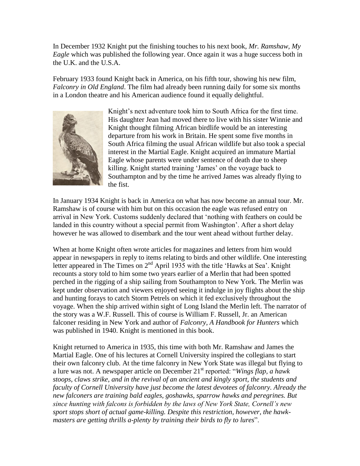In December 1932 Knight put the finishing touches to his next book, *Mr. Ramshaw, My Eagle* which was published the following year. Once again it was a huge success both in the U.K. and the U.S.A.

February 1933 found Knight back in America, on his fifth tour, showing his new film, *Falconry in Old England*. The film had already been running daily for some six months in a London theatre and his American audience found it equally delightful.



Knight's next adventure took him to South Africa for the first time. His daughter Jean had moved there to live with his sister Winnie and Knight thought filming African birdlife would be an interesting departure from his work in Britain. He spent some five months in South Africa filming the usual African wildlife but also took a special interest in the Martial Eagle. Knight acquired an immature Martial Eagle whose parents were under sentence of death due to sheep killing. Knight started training 'James' on the voyage back to Southampton and by the time he arrived James was already flying to the fist.

In January 1934 Knight is back in America on what has now become an annual tour. Mr. Ramshaw is of course with him but on this occasion the eagle was refused entry on arrival in New York. Customs suddenly declared that "nothing with feathers on could be landed in this country without a special permit from Washington'. After a short delay however he was allowed to disembark and the tour went ahead without further delay.

When at home Knight often wrote articles for magazines and letters from him would appear in newspapers in reply to items relating to birds and other wildlife. One interesting letter appeared in The Times on  $2^{nd}$  April 1935 with the title 'Hawks at Sea'. Knight recounts a story told to him some two years earlier of a Merlin that had been spotted perched in the rigging of a ship sailing from Southampton to New York. The Merlin was kept under observation and viewers enjoyed seeing it indulge in joy flights about the ship and hunting forays to catch Storm Petrels on which it fed exclusively throughout the voyage. When the ship arrived within sight of Long Island the Merlin left. The narrator of the story was a W.F. Russell. This of course is William F. Russell, Jr. an American falconer residing in New York and author of *Falconry, A Handbook for Hunters* which was published in 1940. Knight is mentioned in this book.

Knight returned to America in 1935, this time with both Mr. Ramshaw and James the Martial Eagle. One of his lectures at Cornell University inspired the collegians to start their own falconry club. At the time falconry in New York State was illegal but flying to a lure was not. A newspaper article on December 21st reported: "*Wings flap, a hawk stoops, claws strike, and in the revival of an ancient and kingly sport, the students and faculty of Cornell University have just become the latest devotees of falconry. Already the new falconers are training bald eagles, goshawks, sparrow hawks and peregrines. But since hunting with falcons is forbidden by the laws of New York State, Cornell's new sport stops short of actual game-killing. Despite this restriction, however, the hawkmasters are getting thrills a-plenty by training their birds to fly to lures*".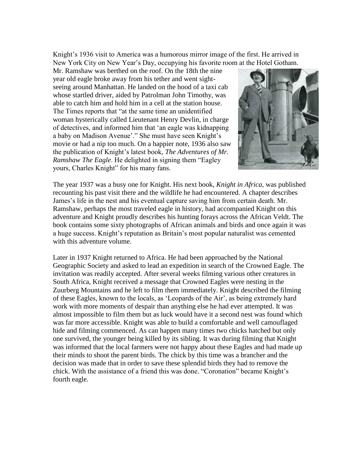Knight's 1936 visit to America was a humorous mirror image of the first. He arrived in New York City on New Year"s Day, occupying his favorite room at the Hotel Gotham.

Mr. Ramshaw was berthed on the roof. On the 18th the nine year old eagle broke away from his tether and went sightseeing around Manhattan. He landed on the hood of a taxi cab whose startled driver, aided by Patrolman John Timothy, was able to catch him and hold him in a cell at the station house. The Times reports that "at the same time an unidentified woman hysterically called Lieutenant Henry Devlin, in charge of detectives, and informed him that "an eagle was kidnapping a baby on Madison Avenue'." She must have seen Knight's movie or had a nip too much. On a happier note, 1936 also saw the publication of Knight"s latest book, *The Adventures of Mr. Ramshaw The Eagle*. He delighted in signing them "Eagley yours, Charles Knight" for his many fans.



The year 1937 was a busy one for Knight. His next book, *Knight in Africa*, was published recounting his past visit there and the wildlife he had encountered. A chapter describes James"s life in the nest and his eventual capture saving him from certain death. Mr. Ramshaw, perhaps the most traveled eagle in history, had accompanied Knight on this adventure and Knight proudly describes his hunting forays across the African Veldt. The book contains some sixty photographs of African animals and birds and once again it was a huge success. Knight's reputation as Britain's most popular naturalist was cemented with this adventure volume.

Later in 1937 Knight returned to Africa. He had been approached by the National Geographic Society and asked to lead an expedition in search of the Crowned Eagle. The invitation was readily accepted. After several weeks filming various other creatures in South Africa, Knight received a message that Crowned Eagles were nesting in the Zuurberg Mountains and he left to film them immediately. Knight described the filming of these Eagles, known to the locals, as "Leopards of the Air", as being extremely hard work with more moments of despair than anything else he had ever attempted. It was almost impossible to film them but as luck would have it a second nest was found which was far more accessible. Knight was able to build a comfortable and well camouflaged hide and filming commenced. As can happen many times two chicks hatched but only one survived, the younger being killed by its sibling. It was during filming that Knight was informed that the local farmers were not happy about these Eagles and had made up their minds to shoot the parent birds. The chick by this time was a brancher and the decision was made that in order to save these splendid birds they had to remove the chick. With the assistance of a friend this was done. "Coronation" became Knight"s fourth eagle.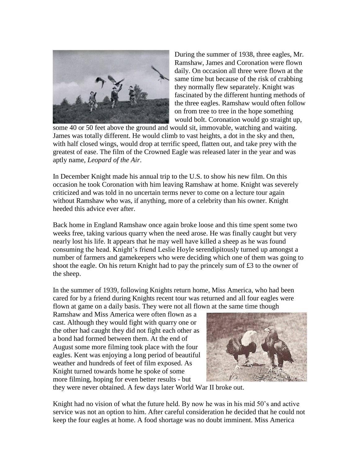

During the summer of 1938, three eagles, Mr. Ramshaw, James and Coronation were flown daily. On occasion all three were flown at the same time but because of the risk of crabbing they normally flew separately. Knight was fascinated by the different hunting methods of the three eagles. Ramshaw would often follow on from tree to tree in the hope something would bolt. Coronation would go straight up,

some 40 or 50 feet above the ground and would sit, immovable, watching and waiting. James was totally different. He would climb to vast heights, a dot in the sky and then, with half closed wings, would drop at terrific speed, flatten out, and take prey with the greatest of ease. The film of the Crowned Eagle was released later in the year and was aptly name, *Leopard of the Air*.

In December Knight made his annual trip to the U.S. to show his new film. On this occasion he took Coronation with him leaving Ramshaw at home. Knight was severely criticized and was told in no uncertain terms never to come on a lecture tour again without Ramshaw who was, if anything, more of a celebrity than his owner. Knight heeded this advice ever after.

Back home in England Ramshaw once again broke loose and this time spent some two weeks free, taking various quarry when the need arose. He was finally caught but very nearly lost his life. It appears that he may well have killed a sheep as he was found consuming the head. Knight's friend Leslie Hoyle serendipitously turned up amongst a number of farmers and gamekeepers who were deciding which one of them was going to shoot the eagle. On his return Knight had to pay the princely sum of £3 to the owner of the sheep.

In the summer of 1939, following Knights return home, Miss America, who had been cared for by a friend during Knights recent tour was returned and all four eagles were flown at game on a daily basis. They were not all flown at the same time though

Ramshaw and Miss America were often flown as a cast. Although they would fight with quarry one or the other had caught they did not fight each other as a bond had formed between them. At the end of August some more filming took place with the four eagles. Kent was enjoying a long period of beautiful weather and hundreds of feet of film exposed. As Knight turned towards home he spoke of some more filming, hoping for even better results - but



they were never obtained. A few days later World War II broke out.

Knight had no vision of what the future held. By now he was in his mid 50"s and active service was not an option to him. After careful consideration he decided that he could not keep the four eagles at home. A food shortage was no doubt imminent. Miss America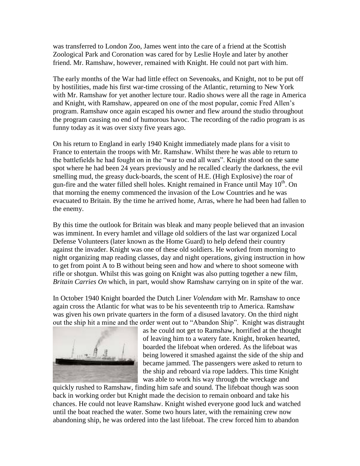was transferred to London Zoo, James went into the care of a friend at the Scottish Zoological Park and Coronation was cared for by Leslie Hoyle and later by another friend. Mr. Ramshaw, however, remained with Knight. He could not part with him.

The early months of the War had little effect on Sevenoaks, and Knight, not to be put off by hostilities, made his first war-time crossing of the Atlantic, returning to New York with Mr. Ramshaw for yet another lecture tour. Radio shows were all the rage in America and Knight, with Ramshaw, appeared on one of the most popular, comic Fred Allen"s program. Ramshaw once again escaped his owner and flew around the studio throughout the program causing no end of humorous havoc. The recording of the radio program is as funny today as it was over sixty five years ago.

On his return to England in early 1940 Knight immediately made plans for a visit to France to entertain the troops with Mr. Ramshaw. Whilst there he was able to return to the battlefields he had fought on in the "war to end all wars". Knight stood on the same spot where he had been 24 years previously and he recalled clearly the darkness, the evil smelling mud, the greasy duck-boards, the scent of H.E. (High Explosive) the roar of gun-fire and the water filled shell holes. Knight remained in France until May  $10<sup>th</sup>$ . On that morning the enemy commenced the invasion of the Low Countries and he was evacuated to Britain. By the time he arrived home, Arras, where he had been had fallen to the enemy.

By this time the outlook for Britain was bleak and many people believed that an invasion was imminent. In every hamlet and village old soldiers of the last war organized Local Defense Volunteers (later known as the Home Guard) to help defend their country against the invader. Knight was one of these old soldiers. He worked from morning to night organizing map reading classes, day and night operations, giving instruction in how to get from point A to B without being seen and how and where to shoot someone with rifle or shotgun. Whilst this was going on Knight was also putting together a new film, *Britain Carries On* which, in part, would show Ramshaw carrying on in spite of the war.

In October 1940 Knight boarded the Dutch Liner *Volendam* with Mr. Ramshaw to once again cross the Atlantic for what was to be his seventeenth trip to America. Ramshaw was given his own private quarters in the form of a disused lavatory. On the third night out the ship hit a mine and the order went out to "Abandon Ship". Knight was distraught



as he could not get to Ramshaw, horrified at the thought of leaving him to a watery fate. Knight, broken hearted, boarded the lifeboat when ordered. As the lifeboat was being lowered it smashed against the side of the ship and became jammed. The passengers were asked to return to the ship and reboard via rope ladders. This time Knight was able to work his way through the wreckage and

quickly rushed to Ramshaw, finding him safe and sound. The lifeboat though was soon back in working order but Knight made the decision to remain onboard and take his chances. He could not leave Ramshaw. Knight wished everyone good luck and watched until the boat reached the water. Some two hours later, with the remaining crew now abandoning ship, he was ordered into the last lifeboat. The crew forced him to abandon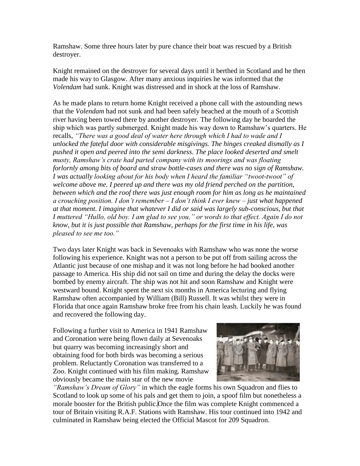Ramshaw. Some three hours later by pure chance their boat was rescued by a British destroyer.

Knight remained on the destroyer for several days until it berthed in Scotland and he then made his way to Glasgow. After many anxious inquiries he was informed that the *Volendam* had sunk. Knight was distressed and in shock at the loss of Ramshaw.

As he made plans to return home Knight received a phone call with the astounding news that the *Volendam* had not sunk and had been safely beached at the mouth of a Scottish river having been towed there by another destroyer. The following day he boarded the ship which was partly submerged. Knight made his way down to Ramshaw"s quarters. He recalls, *"There was a good deal of water here through which I had to wade and I unlocked the fateful door with considerable misgivings. The hinges creaked dismally as I pushed it open and peered into the semi darkness. The place looked deserted and smelt musty, Ramshaw's crate had parted company with its moorings and was floating forlornly among bits of board and straw bottle-cases and there was no sign of Ramshaw. I was actually looking about for his body when I heard the familiar "twoot-twoot" of welcome above me. I peered up and there was my old friend perched on the partition, between which and the roof there was just enough room for him as long as he maintained a crouching position. I don't remember – I don't think I ever knew – just what happened at that moment. I imagine that whatever I did or said was largely sub-conscious, but that I muttered "Hullo, old boy. I am glad to see you," or words to that effect. Again I do not know, but it is just possible that Ramshaw, perhaps for the first time in his life, was pleased to see me too."*

Two days later Knight was back in Sevenoaks with Ramshaw who was none the worse following his experience. Knight was not a person to be put off from sailing across the Atlantic just because of one mishap and it was not long before he had booked another passage to America. His ship did not sail on time and during the delay the docks were bombed by enemy aircraft. The ship was not hit and soon Ramshaw and Knight were westward bound. Knight spent the next six months in America lecturing and flying Ramshaw often accompanied by William (Bill) Russell. It was whilst they were in Florida that once again Ramshaw broke free from his chain leash. Luckily he was found and recovered the following day.

Following a further visit to America in 1941 Ramshaw and Coronation were being flown daily at Sevenoaks but quarry was becoming increasingly short and obtaining food for both birds was becoming a serious problem. Reluctantly Coronation was transferred to a Zoo. Knight continued with his film making. Ramshaw obviously became the main star of the new movie



*"Ramshaw's Dream of Glory"* in which the eagle forms his own Squadron and flies to Scotland to look up some of his pals and get them to join, a spoof film but nonetheless a morale booster for the British public. Once the film was complete Knight commenced a tour of Britain visiting R.A.F. Stations with Ramshaw. His tour continued into 1942 and culminated in Ramshaw being elected the Official Mascot for 209 Squadron.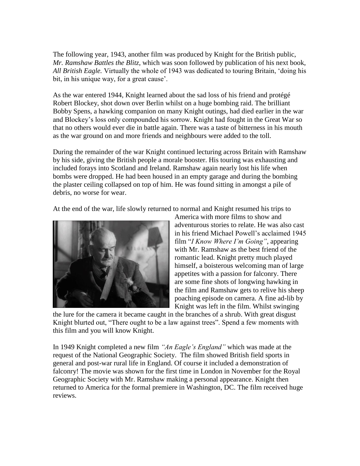The following year, 1943, another film was produced by Knight for the British public, *Mr. Ramshaw Battles the Blitz*, which was soon followed by publication of his next book, *All British Eagle.* Virtually the whole of 1943 was dedicated to touring Britain, "doing his bit, in his unique way, for a great cause'.

As the war entered 1944, Knight learned about the sad loss of his friend and protégé Robert Blockey, shot down over Berlin whilst on a huge bombing raid. The brilliant Bobby Spens, a hawking companion on many Knight outings, had died earlier in the war and Blockey"s loss only compounded his sorrow. Knight had fought in the Great War so that no others would ever die in battle again. There was a taste of bitterness in his mouth as the war ground on and more friends and neighbours were added to the toll.

During the remainder of the war Knight continued lecturing across Britain with Ramshaw by his side, giving the British people a morale booster. His touring was exhausting and included forays into Scotland and Ireland. Ramshaw again nearly lost his life when bombs were dropped. He had been housed in an empty garage and during the bombing the plaster ceiling collapsed on top of him. He was found sitting in amongst a pile of debris, no worse for wear.

At the end of the war, life slowly returned to normal and Knight resumed his trips to



America with more films to show and adventurous stories to relate. He was also cast in his friend Michael Powell's acclaimed 1945 film "*I Know Where I'm Going"*, appearing with Mr. Ramshaw as the best friend of the romantic lead. Knight pretty much played himself, a boisterous welcoming man of large appetites with a passion for falconry. There are some fine shots of longwing hawking in the film and Ramshaw gets to relive his sheep poaching episode on camera. A fine ad-lib by Knight was left in the film. Whilst swinging

the lure for the camera it became caught in the branches of a shrub. With great disgust Knight blurted out, "There ought to be a law against trees". Spend a few moments with this film and you will know Knight.

In 1949 Knight completed a new film *"An Eagle's England"* which was made at the request of the National Geographic Society. The film showed British field sports in general and post-war rural life in England. Of course it included a demonstration of falconry! The movie was shown for the first time in London in November for the Royal Geographic Society with Mr. Ramshaw making a personal appearance. Knight then returned to America for the formal premiere in Washington, DC. The film received huge reviews.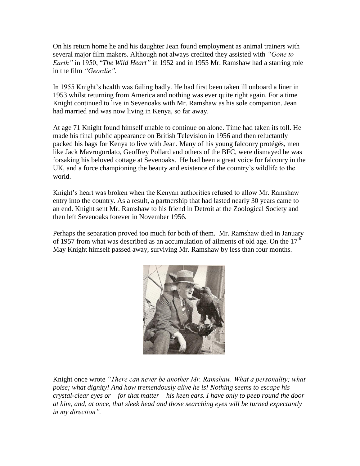On his return home he and his daughter Jean found employment as animal trainers with several major film makers. Although not always credited they assisted with *"Gone to Earth"* in 1950, "*The Wild Heart"* in 1952 and in 1955 Mr. Ramshaw had a starring role in the film *"Geordie".*

In 1955 Knight's health was failing badly. He had first been taken ill onboard a liner in 1953 whilst returning from America and nothing was ever quite right again. For a time Knight continued to live in Sevenoaks with Mr. Ramshaw as his sole companion. Jean had married and was now living in Kenya, so far away.

At age 71 Knight found himself unable to continue on alone. Time had taken its toll. He made his final public appearance on British Television in 1956 and then reluctantly packed his bags for Kenya to live with Jean. Many of his young falconry protégés, men like Jack Mavrogordato, Geoffrey Pollard and others of the BFC, were dismayed he was forsaking his beloved cottage at Sevenoaks. He had been a great voice for falconry in the UK, and a force championing the beauty and existence of the country"s wildlife to the world.

Knight's heart was broken when the Kenyan authorities refused to allow Mr. Ramshaw entry into the country. As a result, a partnership that had lasted nearly 30 years came to an end. Knight sent Mr. Ramshaw to his friend in Detroit at the Zoological Society and then left Sevenoaks forever in November 1956.

Perhaps the separation proved too much for both of them. Mr. Ramshaw died in January of 1957 from what was described as an accumulation of ailments of old age. On the  $17<sup>th</sup>$ May Knight himself passed away, surviving Mr. Ramshaw by less than four months.



Knight once wrote *"There can never be another Mr. Ramshaw. What a personality; what poise; what dignity! And how tremendously alive he is! Nothing seems to escape his crystal-clear eyes or – for that matter – his keen ears. I have only to peep round the door at him, and, at once, that sleek head and those searching eyes will be turned expectantly in my direction".*